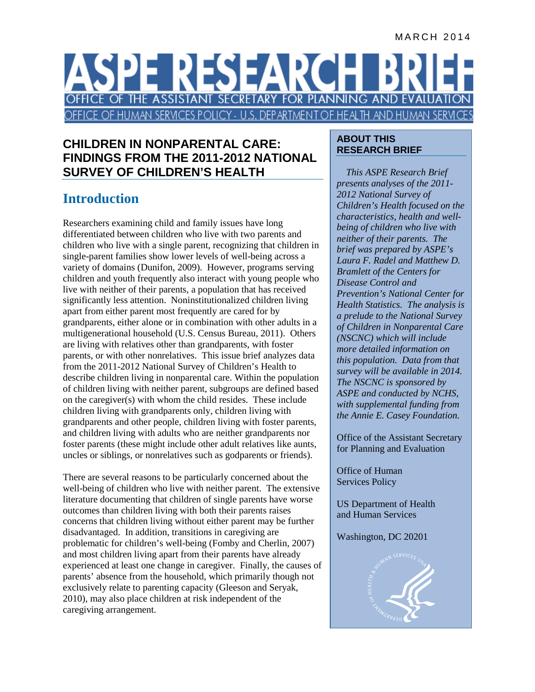#### MARCH 2014

# ASPE RESEARC FICE OF THE ASSISTANT SECRETARY FOR PLANNING AND EVALUAT OFFICE OF HUMAN SERVICES POLICY - U.S. DEPARTMENT OF HEALTH AND HUMAN SERVI

### **CHILDREN IN NONPARENTAL CARE: FINDINGS FROM THE 2011-2012 NATIONAL SURVEY OF CHILDREN'S HEALTH**

# **Introduction**

Researchers examining child and family issues have long differentiated between children who live with two parents and children who live with a single parent, recognizing that children in single-parent families show lower levels of well-being across a variety of domains (Dunifon, 2009). However, programs serving children and youth frequently also interact with young people who live with neither of their parents, a population that has received significantly less attention. Noninstitutionalized children living apart from either parent most frequently are cared for by grandparents, either alone or in combination with other adults in a multigenerational household (U.S. Census Bureau, 2011). Others are living with relatives other than grandparents, with foster parents, or with other nonrelatives. This issue brief analyzes data from the 2011-2012 National Survey of Children's Health to describe children living in nonparental care. Within the population of children living with neither parent, subgroups are defined based on the caregiver(s) with whom the child resides. These include children living with grandparents only, children living with grandparents and other people, children living with foster parents, and children living with adults who are neither grandparents nor foster parents (these might include other adult relatives like aunts, uncles or siblings, or nonrelatives such as godparents or friends).

There are several reasons to be particularly concerned about the well-being of children who live with neither parent. The extensive literature documenting that children of single parents have worse outcomes than children living with both their parents raises concerns that children living without either parent may be further disadvantaged. In addition, transitions in caregiving are problematic for children's well-being (Fomby and Cherlin, 2007) and most children living apart from their parents have already experienced at least one change in caregiver. Finally, the causes of parents' absence from the household, which primarily though not exclusively relate to parenting capacity (Gleeson and Seryak, 2010), may also place children at risk independent of the caregiving arrangement.

#### **ABOUT THIS RESEARCH BRIEF**

*This ASPE Research Brief presents analyses of the 2011- 2012 National Survey of Children's Health focused on the characteristics, health and wellbeing of children who live with neither of their parents. The brief was prepared by ASPE's Laura F. Radel and Matthew D. Bramlett of the Centers for Disease Control and Prevention's National Center for Health Statistics. The analysis is a prelude to the National Survey of Children in Nonparental Care (NSCNC) which will include more detailed information on this population. Data from that survey will be available in 2014. The NSCNC is sponsored by ASPE and conducted by NCHS, with supplemental funding from the Annie E. Casey Foundation.*

Office of the Assistant Secretary for Planning and Evaluation

Office of Human Services Policy

US Department of Health and Human Services

#### Washington, DC 20201

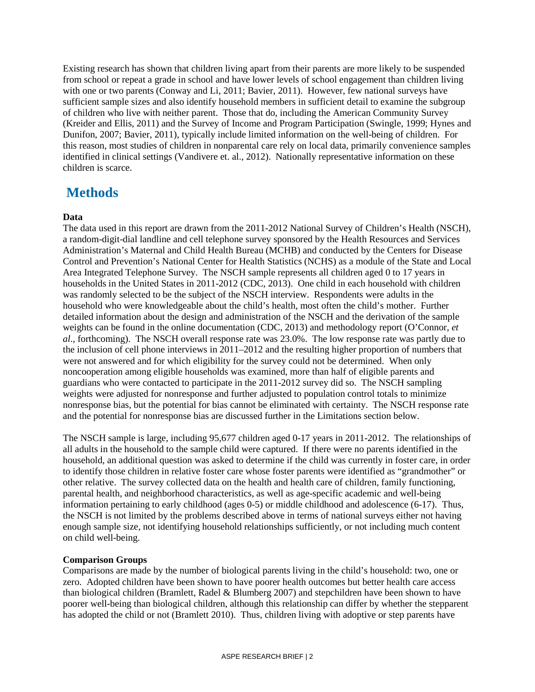Existing research has shown that children living apart from their parents are more likely to be suspended from school or repeat a grade in school and have lower levels of school engagement than children living with one or two parents (Conway and Li, 2011; Bavier, 2011). However, few national surveys have sufficient sample sizes and also identify household members in sufficient detail to examine the subgroup of children who live with neither parent. Those that do, including the American Community Survey (Kreider and Ellis, 2011) and the Survey of Income and Program Participation (Swingle, 1999; Hynes and Dunifon, 2007; Bavier, 2011), typically include limited information on the well-being of children. For this reason, most studies of children in nonparental care rely on local data, primarily convenience samples identified in clinical settings (Vandivere et. al., 2012). Nationally representative information on these children is scarce.

# **Methods**

#### **Data**

The data used in this report are drawn from the 2011-2012 National Survey of Children's Health (NSCH), a random-digit-dial landline and cell telephone survey sponsored by the Health Resources and Services Administration's Maternal and Child Health Bureau (MCHB) and conducted by the Centers for Disease Control and Prevention's National Center for Health Statistics (NCHS) as a module of the State and Local Area Integrated Telephone Survey. The NSCH sample represents all children aged 0 to 17 years in households in the United States in 2011-2012 (CDC*,* 2013). One child in each household with children was randomly selected to be the subject of the NSCH interview. Respondents were adults in the household who were knowledgeable about the child's health, most often the child's mother. Further detailed information about the design and administration of the NSCH and the derivation of the sample weights can be found in the online documentation (CDC, 2013) and methodology report (O'Connor, *et al*., forthcoming). The NSCH overall response rate was 23.0%. The low response rate was partly due to the inclusion of cell phone interviews in 2011–2012 and the resulting higher proportion of numbers that were not answered and for which eligibility for the survey could not be determined. When only noncooperation among eligible households was examined, more than half of eligible parents and guardians who were contacted to participate in the 2011-2012 survey did so. The NSCH sampling weights were adjusted for nonresponse and further adjusted to population control totals to minimize nonresponse bias, but the potential for bias cannot be eliminated with certainty. The NSCH response rate and the potential for nonresponse bias are discussed further in the Limitations section below.

The NSCH sample is large, including 95,677 children aged 0-17 years in 2011-2012. The relationships of all adults in the household to the sample child were captured. If there were no parents identified in the household, an additional question was asked to determine if the child was currently in foster care, in order to identify those children in relative foster care whose foster parents were identified as "grandmother" or other relative. The survey collected data on the health and health care of children, family functioning, parental health, and neighborhood characteristics, as well as age-specific academic and well-being information pertaining to early childhood (ages 0-5) or middle childhood and adolescence (6-17). Thus, the NSCH is not limited by the problems described above in terms of national surveys either not having enough sample size, not identifying household relationships sufficiently, or not including much content on child well-being.

#### **Comparison Groups**

Comparisons are made by the number of biological parents living in the child's household: two, one or zero. Adopted children have been shown to have poorer health outcomes but better health care access than biological children (Bramlett, Radel & Blumberg 2007) and stepchildren have been shown to have poorer well-being than biological children, although this relationship can differ by whether the stepparent has adopted the child or not (Bramlett 2010). Thus, children living with adoptive or step parents have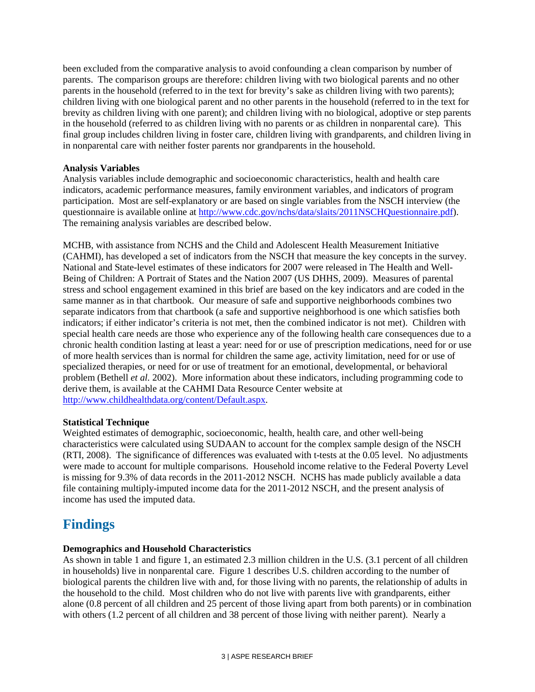been excluded from the comparative analysis to avoid confounding a clean comparison by number of parents. The comparison groups are therefore: children living with two biological parents and no other parents in the household (referred to in the text for brevity's sake as children living with two parents); children living with one biological parent and no other parents in the household (referred to in the text for brevity as children living with one parent); and children living with no biological, adoptive or step parents in the household (referred to as children living with no parents or as children in nonparental care). This final group includes children living in foster care, children living with grandparents, and children living in in nonparental care with neither foster parents nor grandparents in the household.

#### **Analysis Variables**

Analysis variables include demographic and socioeconomic characteristics, health and health care indicators, academic performance measures, family environment variables, and indicators of program participation. Most are self-explanatory or are based on single variables from the NSCH interview (the questionnaire is available online at [http://www.cdc.gov/nchs/data/slaits/2011NSCHQuestionnaire.pdf\)](http://www.cdc.gov/nchs/data/slaits/2011NSCHQuestionnaire.pdf). The remaining analysis variables are described below.

MCHB, with assistance from NCHS and the Child and Adolescent Health Measurement Initiative (CAHMI), has developed a set of indicators from the NSCH that measure the key concepts in the survey. National and State-level estimates of these indicators for 2007 were released in The Health and Well-Being of Children: A Portrait of States and the Nation 2007 (US DHHS, 2009). Measures of parental stress and school engagement examined in this brief are based on the key indicators and are coded in the same manner as in that chartbook. Our measure of safe and supportive neighborhoods combines two separate indicators from that chartbook (a safe and supportive neighborhood is one which satisfies both indicators; if either indicator's criteria is not met, then the combined indicator is not met). Children with special health care needs are those who experience any of the following health care consequences due to a chronic health condition lasting at least a year: need for or use of prescription medications, need for or use of more health services than is normal for children the same age, activity limitation, need for or use of specialized therapies, or need for or use of treatment for an emotional, developmental, or behavioral problem (Bethell *et al.* 2002). More information about these indicators, including programming code to derive them, is available at the CAHMI Data Resource Center website at [http://www.childhealthdata.org/content/Default.aspx.](http://www.childhealthdata.org/content/Default.aspx)

#### **Statistical Technique**

Weighted estimates of demographic, socioeconomic, health, health care, and other well-being characteristics were calculated using SUDAAN to account for the complex sample design of the NSCH (RTI, 2008). The significance of differences was evaluated with t-tests at the 0.05 level. No adjustments were made to account for multiple comparisons. Household income relative to the Federal Poverty Level is missing for 9.3% of data records in the 2011-2012 NSCH. NCHS has made publicly available a data file containing multiply-imputed income data for the 2011-2012 NSCH, and the present analysis of income has used the imputed data.

# **Findings**

#### **Demographics and Household Characteristics**

As shown in table 1 and figure 1, an estimated 2.3 million children in the U.S. (3.1 percent of all children in households) live in nonparental care. Figure 1 describes U.S. children according to the number of biological parents the children live with and, for those living with no parents, the relationship of adults in the household to the child. Most children who do not live with parents live with grandparents, either alone (0.8 percent of all children and 25 percent of those living apart from both parents) or in combination with others (1.2 percent of all children and 38 percent of those living with neither parent). Nearly a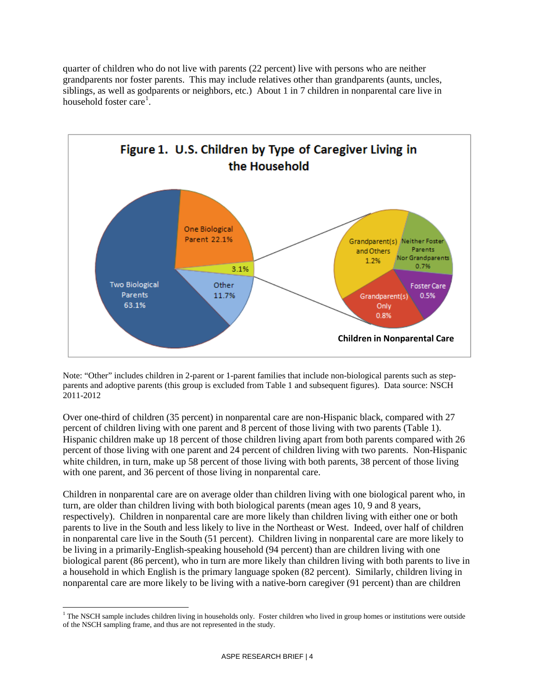quarter of children who do not live with parents (22 percent) live with persons who are neither grandparents nor foster parents. This may include relatives other than grandparents (aunts, uncles, siblings, as well as godparents or neighbors, etc.) About 1 in 7 children in nonparental care live in household foster care<sup>[1](#page-3-0)</sup>.



Note: "Other" includes children in 2-parent or 1-parent families that include non-biological parents such as stepparents and adoptive parents (this group is excluded from Table 1 and subsequent figures). Data source: NSCH 2011-2012

Over one-third of children (35 percent) in nonparental care are non-Hispanic black, compared with 27 percent of children living with one parent and 8 percent of those living with two parents (Table 1). Hispanic children make up 18 percent of those children living apart from both parents compared with 26 percent of those living with one parent and 24 percent of children living with two parents. Non-Hispanic white children, in turn, make up 58 percent of those living with both parents, 38 percent of those living with one parent, and 36 percent of those living in nonparental care.

Children in nonparental care are on average older than children living with one biological parent who, in turn, are older than children living with both biological parents (mean ages 10, 9 and 8 years, respectively). Children in nonparental care are more likely than children living with either one or both parents to live in the South and less likely to live in the Northeast or West. Indeed, over half of children in nonparental care live in the South (51 percent). Children living in nonparental care are more likely to be living in a primarily-English-speaking household (94 percent) than are children living with one biological parent (86 percent), who in turn are more likely than children living with both parents to live in a household in which English is the primary language spoken (82 percent). Similarly, children living in nonparental care are more likely to be living with a native-born caregiver (91 percent) than are children

<span id="page-3-0"></span><sup>&</sup>lt;sup>1</sup> The NSCH sample includes children living in households only. Foster children who lived in group homes or institutions were outside of the NSCH sampling frame, and thus are not represented in the study.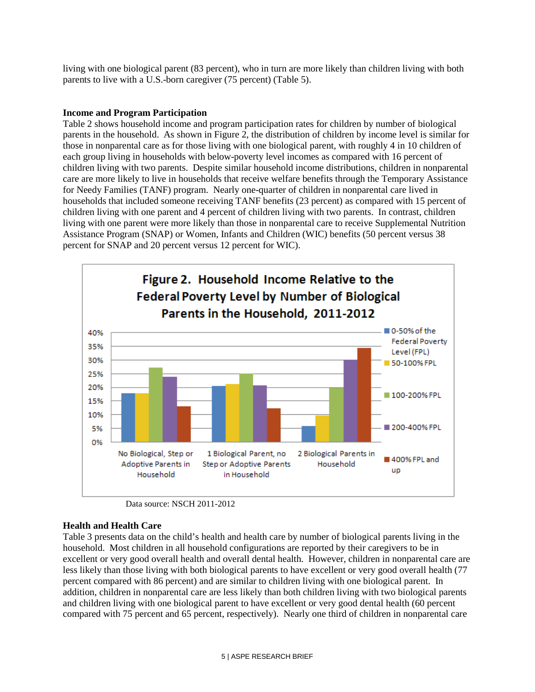living with one biological parent (83 percent), who in turn are more likely than children living with both parents to live with a U.S.-born caregiver (75 percent) (Table 5).

#### **Income and Program Participation**

Table 2 shows household income and program participation rates for children by number of biological parents in the household. As shown in Figure 2, the distribution of children by income level is similar for those in nonparental care as for those living with one biological parent, with roughly 4 in 10 children of each group living in households with below-poverty level incomes as compared with 16 percent of children living with two parents. Despite similar household income distributions, children in nonparental care are more likely to live in households that receive welfare benefits through the Temporary Assistance for Needy Families (TANF) program. Nearly one-quarter of children in nonparental care lived in households that included someone receiving TANF benefits (23 percent) as compared with 15 percent of children living with one parent and 4 percent of children living with two parents. In contrast, children living with one parent were more likely than those in nonparental care to receive Supplemental Nutrition Assistance Program (SNAP) or Women, Infants and Children (WIC) benefits (50 percent versus 38 percent for SNAP and 20 percent versus 12 percent for WIC).



Data source: NSCH 2011-2012

#### **Health and Health Care**

Table 3 presents data on the child's health and health care by number of biological parents living in the household. Most children in all household configurations are reported by their caregivers to be in excellent or very good overall health and overall dental health. However, children in nonparental care are less likely than those living with both biological parents to have excellent or very good overall health (77 percent compared with 86 percent) and are similar to children living with one biological parent. In addition, children in nonparental care are less likely than both children living with two biological parents and children living with one biological parent to have excellent or very good dental health (60 percent compared with 75 percent and 65 percent, respectively). Nearly one third of children in nonparental care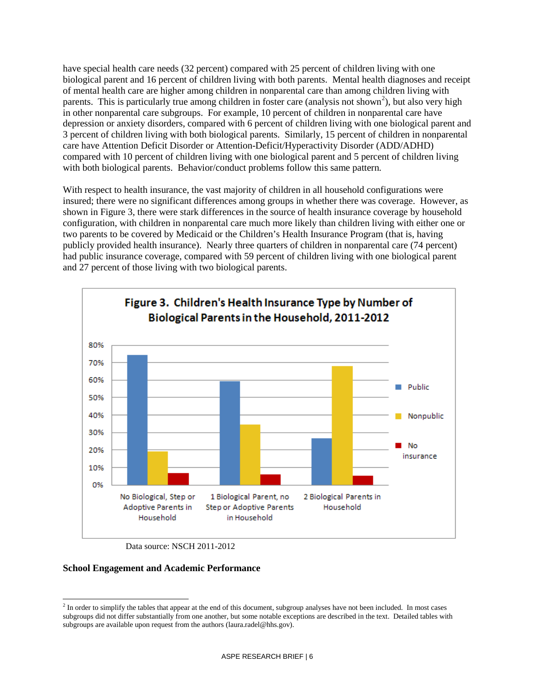have special health care needs (32 percent) compared with 25 percent of children living with one biological parent and 16 percent of children living with both parents. Mental health diagnoses and receipt of mental health care are higher among children in nonparental care than among children living with parents. This is particularly true among children in foster care (analysis not shown<sup>[2](#page-5-0)</sup>), but also very high in other nonparental care subgroups. For example, 10 percent of children in nonparental care have depression or anxiety disorders, compared with 6 percent of children living with one biological parent and 3 percent of children living with both biological parents. Similarly, 15 percent of children in nonparental care have Attention Deficit Disorder or Attention-Deficit/Hyperactivity Disorder (ADD/ADHD) compared with 10 percent of children living with one biological parent and 5 percent of children living with both biological parents. Behavior/conduct problems follow this same pattern.

With respect to health insurance, the vast majority of children in all household configurations were insured; there were no significant differences among groups in whether there was coverage. However, as shown in Figure 3, there were stark differences in the source of health insurance coverage by household configuration, with children in nonparental care much more likely than children living with either one or two parents to be covered by Medicaid or the Children's Health Insurance Program (that is, having publicly provided health insurance). Nearly three quarters of children in nonparental care (74 percent) had public insurance coverage, compared with 59 percent of children living with one biological parent and 27 percent of those living with two biological parents.



Data source: NSCH 2011-2012

#### **School Engagement and Academic Performance**

<span id="page-5-0"></span><sup>&</sup>lt;sup>2</sup> In order to simplify the tables that appear at the end of this document, subgroup analyses have not been included. In most cases subgroups did not differ substantially from one another, but some notable exceptions are described in the text. Detailed tables with subgroups are available upon request from the authors (laura.radel@hhs.gov).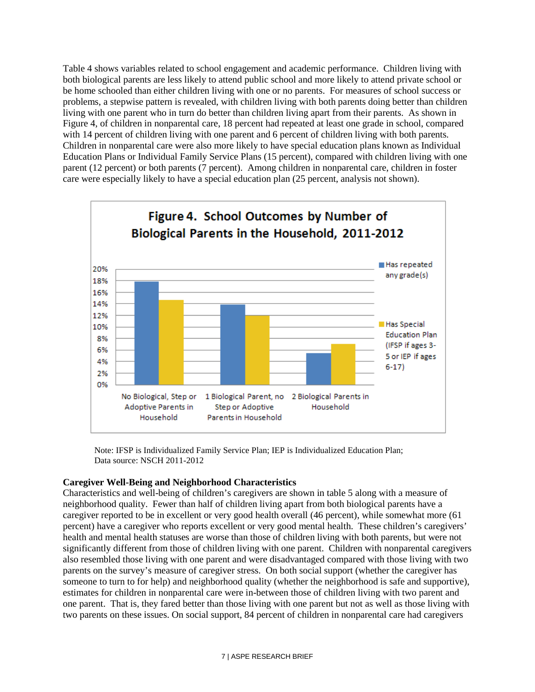Table 4 shows variables related to school engagement and academic performance. Children living with both biological parents are less likely to attend public school and more likely to attend private school or be home schooled than either children living with one or no parents. For measures of school success or problems, a stepwise pattern is revealed, with children living with both parents doing better than children living with one parent who in turn do better than children living apart from their parents. As shown in Figure 4, of children in nonparental care, 18 percent had repeated at least one grade in school, compared with 14 percent of children living with one parent and 6 percent of children living with both parents. Children in nonparental care were also more likely to have special education plans known as Individual Education Plans or Individual Family Service Plans (15 percent), compared with children living with one parent (12 percent) or both parents (7 percent). Among children in nonparental care, children in foster care were especially likely to have a special education plan (25 percent, analysis not shown).



Note: IFSP is Individualized Family Service Plan; IEP is Individualized Education Plan; Data source: NSCH 2011-2012

#### **Caregiver Well-Being and Neighborhood Characteristics**

Characteristics and well-being of children's caregivers are shown in table 5 along with a measure of neighborhood quality. Fewer than half of children living apart from both biological parents have a caregiver reported to be in excellent or very good health overall (46 percent), while somewhat more (61 percent) have a caregiver who reports excellent or very good mental health. These children's caregivers' health and mental health statuses are worse than those of children living with both parents, but were not significantly different from those of children living with one parent. Children with nonparental caregivers also resembled those living with one parent and were disadvantaged compared with those living with two parents on the survey's measure of caregiver stress. On both social support (whether the caregiver has someone to turn to for help) and neighborhood quality (whether the neighborhood is safe and supportive), estimates for children in nonparental care were in-between those of children living with two parent and one parent. That is, they fared better than those living with one parent but not as well as those living with two parents on these issues. On social support, 84 percent of children in nonparental care had caregivers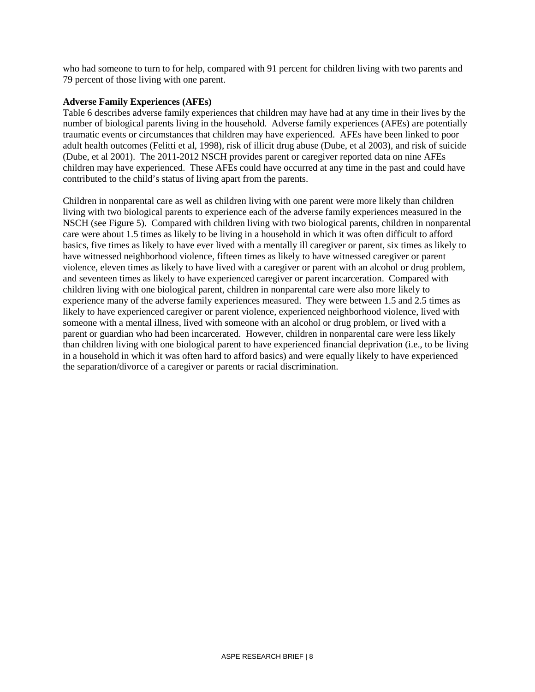who had someone to turn to for help, compared with 91 percent for children living with two parents and 79 percent of those living with one parent.

#### **Adverse Family Experiences (AFEs)**

Table 6 describes adverse family experiences that children may have had at any time in their lives by the number of biological parents living in the household. Adverse family experiences (AFEs) are potentially traumatic events or circumstances that children may have experienced. AFEs have been linked to poor adult health outcomes (Felitti et al, 1998), risk of illicit drug abuse (Dube, et al 2003), and risk of suicide (Dube, et al 2001). The 2011-2012 NSCH provides parent or caregiver reported data on nine AFEs children may have experienced. These AFEs could have occurred at any time in the past and could have contributed to the child's status of living apart from the parents.

Children in nonparental care as well as children living with one parent were more likely than children living with two biological parents to experience each of the adverse family experiences measured in the NSCH (see Figure 5). Compared with children living with two biological parents, children in nonparental care were about 1.5 times as likely to be living in a household in which it was often difficult to afford basics, five times as likely to have ever lived with a mentally ill caregiver or parent, six times as likely to have witnessed neighborhood violence, fifteen times as likely to have witnessed caregiver or parent violence, eleven times as likely to have lived with a caregiver or parent with an alcohol or drug problem, and seventeen times as likely to have experienced caregiver or parent incarceration. Compared with children living with one biological parent, children in nonparental care were also more likely to experience many of the adverse family experiences measured. They were between 1.5 and 2.5 times as likely to have experienced caregiver or parent violence, experienced neighborhood violence, lived with someone with a mental illness, lived with someone with an alcohol or drug problem, or lived with a parent or guardian who had been incarcerated. However, children in nonparental care were less likely than children living with one biological parent to have experienced financial deprivation (i.e., to be living in a household in which it was often hard to afford basics) and were equally likely to have experienced the separation/divorce of a caregiver or parents or racial discrimination.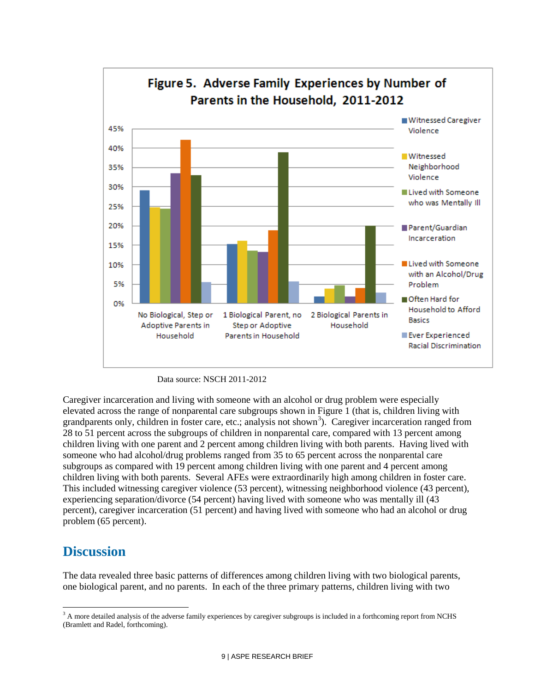

Data source: NSCH 2011-2012

Caregiver incarceration and living with someone with an alcohol or drug problem were especially elevated across the range of nonparental care subgroups shown in Figure 1 (that is, children living with grandparents only, children in foster care, etc.; analysis not shown<sup>[3](#page-8-0)</sup>). Caregiver incarceration ranged from 28 to 51 percent across the subgroups of children in nonparental care, compared with 13 percent among children living with one parent and 2 percent among children living with both parents. Having lived with someone who had alcohol/drug problems ranged from 35 to 65 percent across the nonparental care subgroups as compared with 19 percent among children living with one parent and 4 percent among children living with both parents. Several AFEs were extraordinarily high among children in foster care. This included witnessing caregiver violence (53 percent), witnessing neighborhood violence (43 percent), experiencing separation/divorce (54 percent) having lived with someone who was mentally ill (43 percent), caregiver incarceration (51 percent) and having lived with someone who had an alcohol or drug problem (65 percent).

## **Discussion**

The data revealed three basic patterns of differences among children living with two biological parents, one biological parent, and no parents. In each of the three primary patterns, children living with two

<span id="page-8-0"></span><sup>&</sup>lt;sup>3</sup> A more detailed analysis of the adverse family experiences by caregiver subgroups is included in a forthcoming report from NCHS (Bramlett and Radel, forthcoming).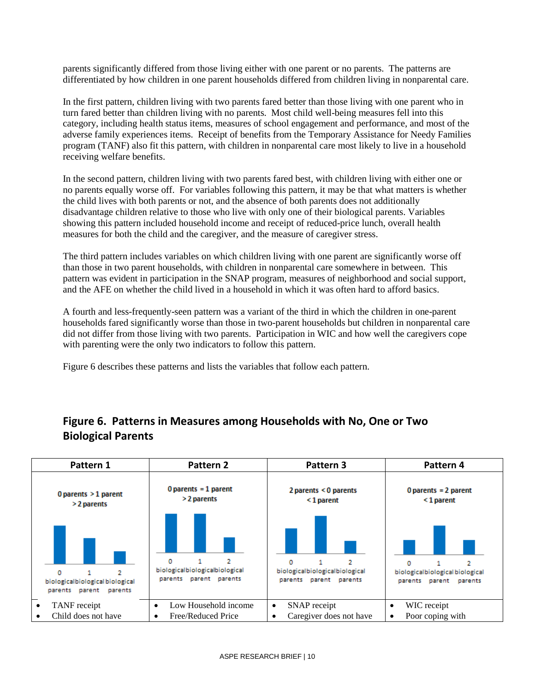parents significantly differed from those living either with one parent or no parents. The patterns are differentiated by how children in one parent households differed from children living in nonparental care.

In the first pattern, children living with two parents fared better than those living with one parent who in turn fared better than children living with no parents. Most child well-being measures fell into this category, including health status items, measures of school engagement and performance, and most of the adverse family experiences items. Receipt of benefits from the Temporary Assistance for Needy Families program (TANF) also fit this pattern, with children in nonparental care most likely to live in a household receiving welfare benefits.

In the second pattern, children living with two parents fared best, with children living with either one or no parents equally worse off. For variables following this pattern, it may be that what matters is whether the child lives with both parents or not, and the absence of both parents does not additionally disadvantage children relative to those who live with only one of their biological parents. Variables showing this pattern included household income and receipt of reduced-price lunch, overall health measures for both the child and the caregiver, and the measure of caregiver stress.

The third pattern includes variables on which children living with one parent are significantly worse off than those in two parent households, with children in nonparental care somewhere in between. This pattern was evident in participation in the SNAP program, measures of neighborhood and social support, and the AFE on whether the child lived in a household in which it was often hard to afford basics.

A fourth and less-frequently-seen pattern was a variant of the third in which the children in one-parent households fared significantly worse than those in two-parent households but children in nonparental care did not differ from those living with two parents. Participation in WIC and how well the caregivers cope with parenting were the only two indicators to follow this pattern.

Figure 6 describes these patterns and lists the variables that follow each pattern.

| Pattern 1                                                           | Pattern 2                                                          | Pattern 3                                                     | Pattern 4                                                           |
|---------------------------------------------------------------------|--------------------------------------------------------------------|---------------------------------------------------------------|---------------------------------------------------------------------|
| 0 parents $>1$ parent                                               | $0$ parents = 1 parent                                             | 2 parents < 0 parents                                         | 0 parents = $2$ parent                                              |
| > 2 parents                                                         | > 2 parents                                                        | $<$ 1 parent                                                  | $<$ 1 parent                                                        |
| 0<br>2<br>biologicalbiological biological<br>parents parent parents | 2<br>o<br>biologicalbiologicalbiological<br>parents parent parents | 2<br>biologicalbiologicalbiological<br>parents parent parents | 2<br>n<br>biologicalbiological biological<br>parents parent parents |
| TANF receipt                                                        | Low Household income                                               | SNAP receipt                                                  | WIC receipt                                                         |
| $\bullet$                                                           | $\bullet$                                                          | $\bullet$                                                     | ٠                                                                   |
| Child does not have                                                 | Free/Reduced Price                                                 | Caregiver does not have                                       | Poor coping with                                                    |
| $\bullet$                                                           | ٠                                                                  | $\bullet$                                                     | $\bullet$                                                           |

### **Figure 6. Patterns in Measures among Households with No, One or Two Biological Parents**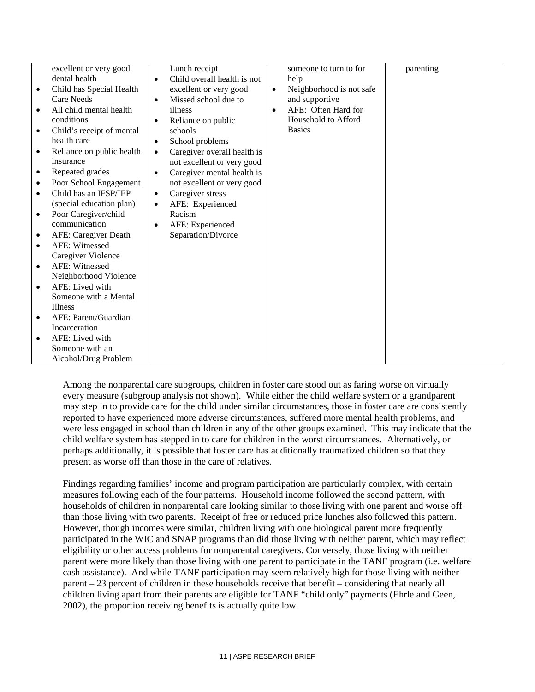|           | excellent or very good    |           | Lunch receipt               |           | someone to turn to for   | parenting |
|-----------|---------------------------|-----------|-----------------------------|-----------|--------------------------|-----------|
|           | dental health             | $\bullet$ | Child overall health is not |           | help                     |           |
|           | Child has Special Health  |           | excellent or very good      | $\bullet$ | Neighborhood is not safe |           |
|           | Care Needs                | $\bullet$ | Missed school due to        |           | and supportive           |           |
| $\bullet$ | All child mental health   |           | illness                     | $\bullet$ | AFE: Often Hard for      |           |
|           | conditions                | $\bullet$ | Reliance on public          |           | Household to Afford      |           |
| $\bullet$ | Child's receipt of mental |           | schools                     |           | <b>Basics</b>            |           |
|           | health care               | $\bullet$ | School problems             |           |                          |           |
| ٠         | Reliance on public health | $\bullet$ | Caregiver overall health is |           |                          |           |
|           | insurance                 |           | not excellent or very good  |           |                          |           |
| ٠         | Repeated grades           | $\bullet$ | Caregiver mental health is  |           |                          |           |
| $\bullet$ | Poor School Engagement    |           | not excellent or very good  |           |                          |           |
| $\bullet$ | Child has an IFSP/IEP     | $\bullet$ | Caregiver stress            |           |                          |           |
|           | (special education plan)  |           | AFE: Experienced            |           |                          |           |
| $\bullet$ | Poor Caregiver/child      |           | Racism                      |           |                          |           |
|           | communication             | ٠         | AFE: Experienced            |           |                          |           |
|           | AFE: Caregiver Death      |           | Separation/Divorce          |           |                          |           |
| $\bullet$ | <b>AFE: Witnessed</b>     |           |                             |           |                          |           |
|           | Caregiver Violence        |           |                             |           |                          |           |
| $\bullet$ | AFE: Witnessed            |           |                             |           |                          |           |
|           | Neighborhood Violence     |           |                             |           |                          |           |
| $\bullet$ | AFE: Lived with           |           |                             |           |                          |           |
|           | Someone with a Mental     |           |                             |           |                          |           |
|           | <b>Illness</b>            |           |                             |           |                          |           |
| $\bullet$ | AFE: Parent/Guardian      |           |                             |           |                          |           |
|           | Incarceration             |           |                             |           |                          |           |
| $\bullet$ | AFE: Lived with           |           |                             |           |                          |           |
|           | Someone with an           |           |                             |           |                          |           |
|           | Alcohol/Drug Problem      |           |                             |           |                          |           |

Among the nonparental care subgroups, children in foster care stood out as faring worse on virtually every measure (subgroup analysis not shown). While either the child welfare system or a grandparent may step in to provide care for the child under similar circumstances, those in foster care are consistently reported to have experienced more adverse circumstances, suffered more mental health problems, and were less engaged in school than children in any of the other groups examined. This may indicate that the child welfare system has stepped in to care for children in the worst circumstances. Alternatively, or perhaps additionally, it is possible that foster care has additionally traumatized children so that they present as worse off than those in the care of relatives.

Findings regarding families' income and program participation are particularly complex, with certain measures following each of the four patterns. Household income followed the second pattern, with households of children in nonparental care looking similar to those living with one parent and worse off than those living with two parents. Receipt of free or reduced price lunches also followed this pattern. However, though incomes were similar, children living with one biological parent more frequently participated in the WIC and SNAP programs than did those living with neither parent, which may reflect eligibility or other access problems for nonparental caregivers. Conversely, those living with neither parent were more likely than those living with one parent to participate in the TANF program (i.e. welfare cash assistance). And while TANF participation may seem relatively high for those living with neither parent – 23 percent of children in these households receive that benefit – considering that nearly all children living apart from their parents are eligible for TANF "child only" payments (Ehrle and Geen, 2002), the proportion receiving benefits is actually quite low.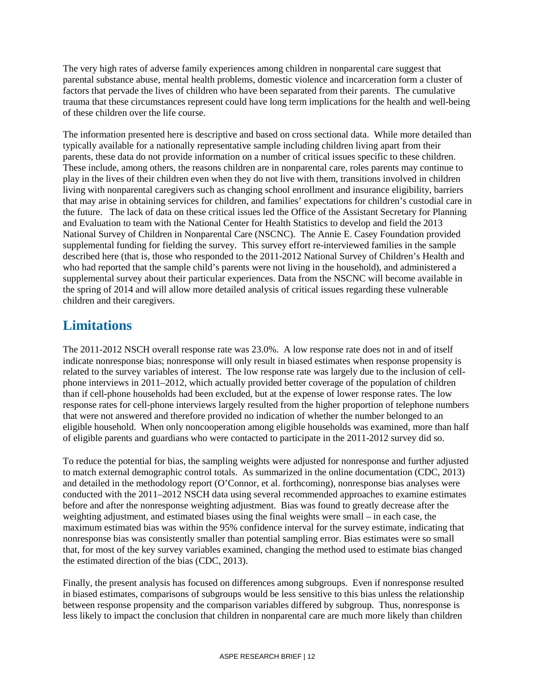The very high rates of adverse family experiences among children in nonparental care suggest that parental substance abuse, mental health problems, domestic violence and incarceration form a cluster of factors that pervade the lives of children who have been separated from their parents. The cumulative trauma that these circumstances represent could have long term implications for the health and well-being of these children over the life course.

The information presented here is descriptive and based on cross sectional data. While more detailed than typically available for a nationally representative sample including children living apart from their parents, these data do not provide information on a number of critical issues specific to these children. These include, among others, the reasons children are in nonparental care, roles parents may continue to play in the lives of their children even when they do not live with them, transitions involved in children living with nonparental caregivers such as changing school enrollment and insurance eligibility, barriers that may arise in obtaining services for children, and families' expectations for children's custodial care in the future. The lack of data on these critical issues led the Office of the Assistant Secretary for Planning and Evaluation to team with the National Center for Health Statistics to develop and field the 2013 National Survey of Children in Nonparental Care (NSCNC). The Annie E. Casey Foundation provided supplemental funding for fielding the survey. This survey effort re-interviewed families in the sample described here (that is, those who responded to the 2011-2012 National Survey of Children's Health and who had reported that the sample child's parents were not living in the household), and administered a supplemental survey about their particular experiences. Data from the NSCNC will become available in the spring of 2014 and will allow more detailed analysis of critical issues regarding these vulnerable children and their caregivers.

# **Limitations**

The 2011-2012 NSCH overall response rate was 23.0%. A low response rate does not in and of itself indicate nonresponse bias; nonresponse will only result in biased estimates when response propensity is related to the survey variables of interest. The low response rate was largely due to the inclusion of cellphone interviews in 2011–2012, which actually provided better coverage of the population of children than if cell-phone households had been excluded, but at the expense of lower response rates. The low response rates for cell-phone interviews largely resulted from the higher proportion of telephone numbers that were not answered and therefore provided no indication of whether the number belonged to an eligible household. When only noncooperation among eligible households was examined, more than half of eligible parents and guardians who were contacted to participate in the 2011-2012 survey did so.

To reduce the potential for bias, the sampling weights were adjusted for nonresponse and further adjusted to match external demographic control totals. As summarized in the online documentation (CDC, 2013) and detailed in the methodology report (O'Connor, et al. forthcoming), nonresponse bias analyses were conducted with the 2011–2012 NSCH data using several recommended approaches to examine estimates before and after the nonresponse weighting adjustment. Bias was found to greatly decrease after the weighting adjustment, and estimated biases using the final weights were small – in each case, the maximum estimated bias was within the 95% confidence interval for the survey estimate, indicating that nonresponse bias was consistently smaller than potential sampling error. Bias estimates were so small that, for most of the key survey variables examined, changing the method used to estimate bias changed the estimated direction of the bias (CDC, 2013).

Finally, the present analysis has focused on differences among subgroups. Even if nonresponse resulted in biased estimates, comparisons of subgroups would be less sensitive to this bias unless the relationship between response propensity and the comparison variables differed by subgroup. Thus, nonresponse is less likely to impact the conclusion that children in nonparental care are much more likely than children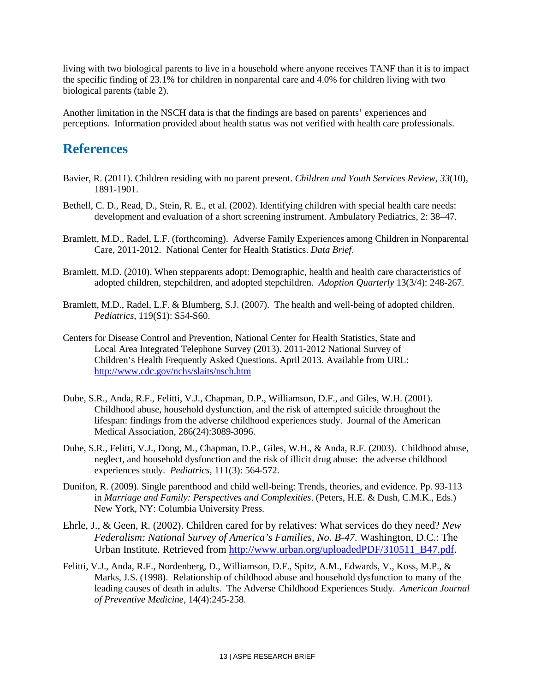living with two biological parents to live in a household where anyone receives TANF than it is to impact the specific finding of 23.1% for children in nonparental care and 4.0% for children living with two biological parents (table 2).

Another limitation in the NSCH data is that the findings are based on parents' experiences and perceptions. Information provided about health status was not verified with health care professionals.

### **References**

- Bavier, R. (2011). Children residing with no parent present. *Children and Youth Services Review*, *33*(10), 1891-1901.
- Bethell, C. D., Read, D., Stein, R. E., et al. (2002). Identifying children with special health care needs: development and evaluation of a short screening instrument. Ambulatory Pediatrics, 2: 38–47.
- Bramlett, M.D., Radel, L.F. (forthcoming). Adverse Family Experiences among Children in Nonparental Care, 2011-2012. National Center for Health Statistics. *Data Brief*.
- Bramlett, M.D. (2010). When stepparents adopt: Demographic, health and health care characteristics of adopted children, stepchildren, and adopted stepchildren. *Adoption Quarterly* 13(3/4): 248-267.
- Bramlett, M.D., Radel, L.F. & Blumberg, S.J. (2007). The health and well-being of adopted children. *Pediatrics*, 119(S1): S54-S60.
- Centers for Disease Control and Prevention, National Center for Health Statistics, State and Local Area Integrated Telephone Survey (2013). 2011-2012 National Survey of Children's Health Frequently Asked Questions. April 2013. Available from URL: <http://www.cdc.gov/nchs/slaits/nsch.htm>
- Dube, S.R., Anda, R.F., Felitti, V.J., Chapman, D.P., Williamson, D.F., and Giles, W.H. (2001). Childhood abuse, household dysfunction, and the risk of attempted suicide throughout the lifespan: findings from the adverse childhood experiences study. Journal of the American Medical Association, 286(24):3089-3096.
- Dube, S.R., Felitti, V.J., Dong, M., Chapman, D.P., Giles, W.H., & Anda, R.F. (2003). Childhood abuse, neglect, and household dysfunction and the risk of illicit drug abuse: the adverse childhood experiences study. *Pediatrics,* 111(3): 564-572.
- Dunifon, R. (2009). Single parenthood and child well-being: Trends, theories, and evidence. Pp. 93-113 in *Marriage and Family: Perspectives and Complexities*. (Peters, H.E. & Dush, C.M.K., Eds.) New York, NY: Columbia University Press.
- Ehrle, J., & Geen, R. (2002). Children cared for by relatives: What services do they need? *New Federalism: National Survey of America's Families, No. B-47.* Washington, D.C.: The Urban Institute. Retrieved from [http://www.urban.org/uploadedPDF/310511\\_B47.pdf.](http://www.urban.org/uploadedPDF/310511_B47.pdf)
- Felitti, V.J., Anda, R.F., Nordenberg, D., Williamson, D.F., Spitz, A.M., Edwards, V., Koss, M.P., & Marks, J.S. (1998). Relationship of childhood abuse and household dysfunction to many of the leading causes of death in adults. The Adverse Childhood Experiences Study. *American Journal of Preventive Medicine*, 14(4):245-258.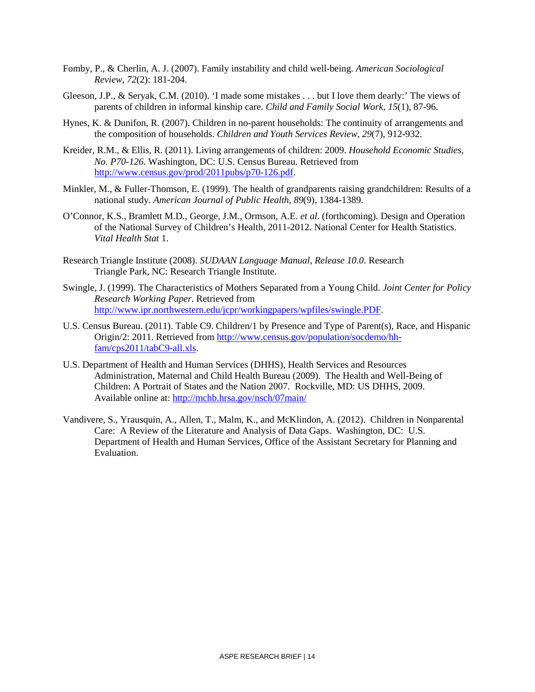- Fomby, P., & Cherlin, A. J. (2007). Family instability and child well-being. *American Sociological Review*, *72*(2): 181-204.
- Gleeson, J.P., & Seryak, C.M. (2010). 'I made some mistakes . . . but I love them dearly:' The views of parents of children in informal kinship care. *Child and Family Social Work*, *15*(1), 87-96.
- Hynes, K. & Dunifon, R. (2007). Children in no-parent households: The continuity of arrangements and the composition of households. *Children and Youth Services Review, 29*(7), 912-932.
- Kreider, R.M., & Ellis, R. (2011). Living arrangements of children: 2009. *Household Economic Studies, No. P70-126.* Washington, DC: U.S. Census Bureau. Retrieved from [http://www.census.gov/prod/2011pubs/p70-126.pdf.](http://www.census.gov/prod/2011pubs/p70-126.pdf)
- Minkler, M., & Fuller-Thomson, E. (1999). The health of grandparents raising grandchildren: Results of a national study. *American Journal of Public Health, 89*(9), 1384-1389.
- O'Connor, K.S., Bramlett M.D., George, J.M., Ormson, A.E. *et al*. (forthcoming). Design and Operation of the National Survey of Children's Health, 2011-2012*.* National Center for Health Statistics. *Vital Health Stat* 1.
- Research Triangle Institute (2008). *SUDAAN Language Manual, Release 10.0*. Research Triangle Park, NC: Research Triangle Institute.
- Swingle, J. (1999). The Characteristics of Mothers Separated from a Young Child. *Joint Center for Policy Research Working Paper*. Retrieved from [http://www.ipr.northwestern.edu/jcpr/workingpapers/wpfiles/swingle.PDF.](http://www.ipr.northwestern.edu/jcpr/workingpapers/wpfiles/swingle.PDF)
- U.S. Census Bureau. (2011). Table C9. Children/1 by Presence and Type of Parent(s), Race, and Hispanic Origin/2: 2011. Retrieved from [http://www.census.gov/population/socdemo/hh](http://www.census.gov/population/socdemo/hh-fam/cps2011/tabC9-all.xls)[fam/cps2011/tabC9-all.xls.](http://www.census.gov/population/socdemo/hh-fam/cps2011/tabC9-all.xls)
- U.S. Department of Health and Human Services (DHHS), Health Services and Resources Administration, Maternal and Child Health Bureau (2009). The Health and Well-Being of Children: A Portrait of States and the Nation 2007. Rockville, MD: US DHHS, 2009. Available online at:<http://mchb.hrsa.gov/nsch/07main/>
- Vandivere, S., Yrausquin, A., Allen, T., Malm, K., and McKlindon, A. (2012). Children in Nonparental Care: A Review of the Literature and Analysis of Data Gaps. Washington, DC: U.S. Department of Health and Human Services, Office of the Assistant Secretary for Planning and Evaluation.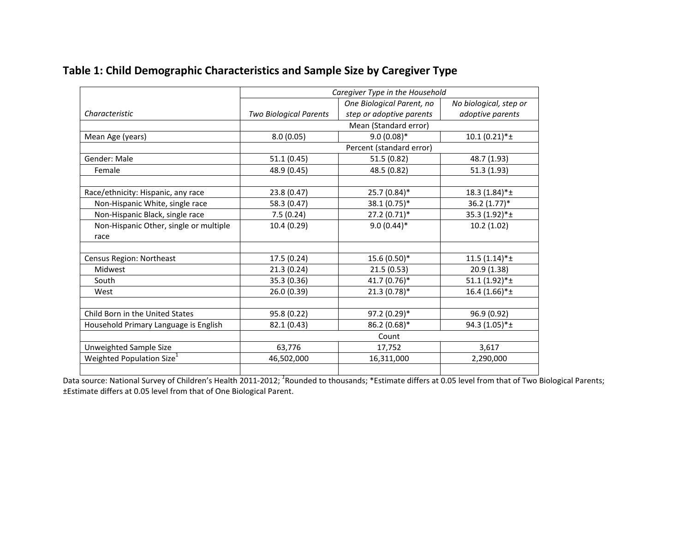|                                        | Caregiver Type in the Household |                           |                             |
|----------------------------------------|---------------------------------|---------------------------|-----------------------------|
|                                        |                                 | One Biological Parent, no | No biological, step or      |
| Characteristic                         | <b>Two Biological Parents</b>   | step or adoptive parents  | adoptive parents            |
|                                        |                                 | Mean (Standard error)     |                             |
| Mean Age (years)                       | 8.0(0.05)                       | $9.0(0.08)*$              | $10.1(0.21)*\pm$            |
|                                        |                                 | Percent (standard error)  |                             |
| Gender: Male                           | 51.1(0.45)                      | 51.5 (0.82)               | 48.7 (1.93)                 |
| Female                                 | 48.9 (0.45)                     | 48.5 (0.82)               | 51.3 (1.93)                 |
|                                        |                                 |                           |                             |
| Race/ethnicity: Hispanic, any race     | 23.8 (0.47)                     | 25.7 (0.84)*              | $18.3(1.84)$ <sup>*</sup> ± |
| Non-Hispanic White, single race        | 58.3 (0.47)                     | 38.1 (0.75)*              | 36.2 (1.77)*                |
| Non-Hispanic Black, single race        | 7.5(0.24)                       | $27.2(0.71)$ *            | 35.3 (1.92)*±               |
| Non-Hispanic Other, single or multiple | 10.4(0.29)                      | $9.0(0.44)$ *             | 10.2(1.02)                  |
| race                                   |                                 |                           |                             |
|                                        |                                 |                           |                             |
| Census Region: Northeast               | 17.5 (0.24)                     | 15.6 (0.50)*              | $11.5(1.14)*\pm$            |
| Midwest                                | 21.3(0.24)                      | 21.5(0.53)                | 20.9(1.38)                  |
| South                                  | 35.3 (0.36)                     | 41.7 (0.76)*              | $51.1(1.92)*\pm$            |
| West                                   | 26.0 (0.39)                     | $21.3(0.78)$ *            | $16.4(1.66)*\pm$            |
|                                        |                                 |                           |                             |
| Child Born in the United States        | 95.8 (0.22)                     | 97.2 (0.29)*              | 96.9 (0.92)                 |
| Household Primary Language is English  | 82.1 (0.43)                     | $86.2(0.68)$ *            | 94.3 $(1.05)*\pm$           |
|                                        | Count                           |                           |                             |
| Unweighted Sample Size                 | 63,776                          | 17,752                    | 3,617                       |
| Weighted Population Size <sup>1</sup>  | 46,502,000                      | 16,311,000                | 2,290,000                   |
|                                        |                                 |                           |                             |

# **Table 1: Child Demographic Characteristics and Sample Size by Caregiver Type**

Data source: National Survey of Children's Health 2011-2012; <sup>1</sup>Rounded to thousands; \*Estimate differs at 0.05 level from that of Two Biological Parents; ±Estimate differs at 0.05 level from that of One Biological Parent.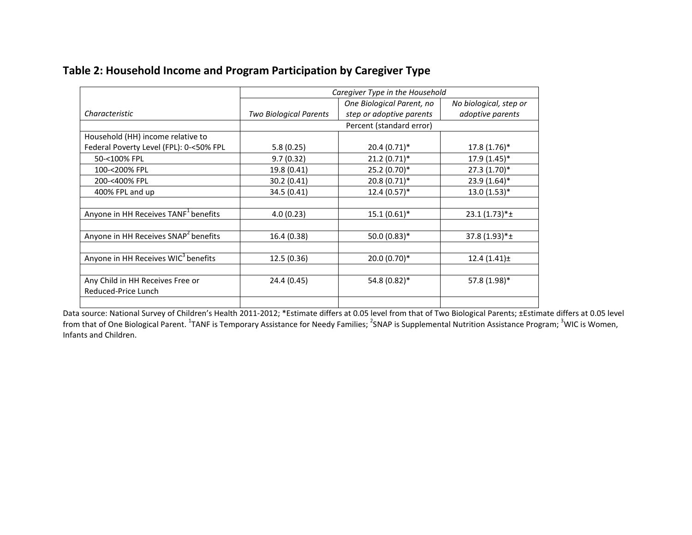| Table 2: Household Income and Program Participation by Caregiver Type |  |  |  |  |  |
|-----------------------------------------------------------------------|--|--|--|--|--|
|-----------------------------------------------------------------------|--|--|--|--|--|

|                                                  | Caregiver Type in the Household |                           |                        |  |
|--------------------------------------------------|---------------------------------|---------------------------|------------------------|--|
|                                                  |                                 | One Biological Parent, no | No biological, step or |  |
| Characteristic                                   | <b>Two Biological Parents</b>   | step or adoptive parents  | adoptive parents       |  |
|                                                  |                                 | Percent (standard error)  |                        |  |
| Household (HH) income relative to                |                                 |                           |                        |  |
| Federal Poverty Level (FPL): 0-<50% FPL          | 5.8(0.25)                       | $20.4(0.71)$ *            | $17.8(1.76)$ *         |  |
| 50-<100% FPL                                     | 9.7(0.32)                       | $21.2(0.71)$ *            | 17.9 (1.45)*           |  |
| 100-<200% FPL                                    | 19.8 (0.41)                     | $25.2(0.70)$ <sup>*</sup> | $27.3(1.70)*$          |  |
| 200-<400% FPL                                    | 30.2 (0.41)                     | $20.8(0.71)$ *            | $23.9(1.64)$ *         |  |
| 400% FPL and up                                  | 34.5 (0.41)                     | $12.4(0.57)$ *            | $13.0(1.53)*$          |  |
|                                                  |                                 |                           |                        |  |
| Anyone in HH Receives TANF <sup>1</sup> benefits | 4.0(0.23)                       | $15.1(0.61)$ *            | $23.1(1.73)*\pm$       |  |
|                                                  |                                 |                           |                        |  |
| Anyone in HH Receives SNAP <sup>2</sup> benefits | 16.4 (0.38)                     | $50.0(0.83)*$             | $37.8(1.93)*\pm$       |  |
|                                                  |                                 |                           |                        |  |
| Anyone in HH Receives WIC <sup>3</sup> benefits  | 12.5 (0.36)                     | 20.0 (0.70)*              | $12.4(1.41)$ ±         |  |
|                                                  |                                 |                           |                        |  |
| Any Child in HH Receives Free or                 | 24.4 (0.45)                     | 54.8 (0.82)*              | 57.8 (1.98)*           |  |
| Reduced-Price Lunch                              |                                 |                           |                        |  |
|                                                  |                                 |                           |                        |  |

Data source: National Survey of Children's Health 2011-2012; \*Estimate differs at 0.05 level from that of Two Biological Parents; ±Estimate differs at 0.05 level from that of One Biological Parent. <sup>1</sup>TANF is Temporary Assistance for Needy Families; <sup>2</sup>SNAP is Supplemental Nutrition Assistance Program; <sup>3</sup>WIC is Women, Infants and Children.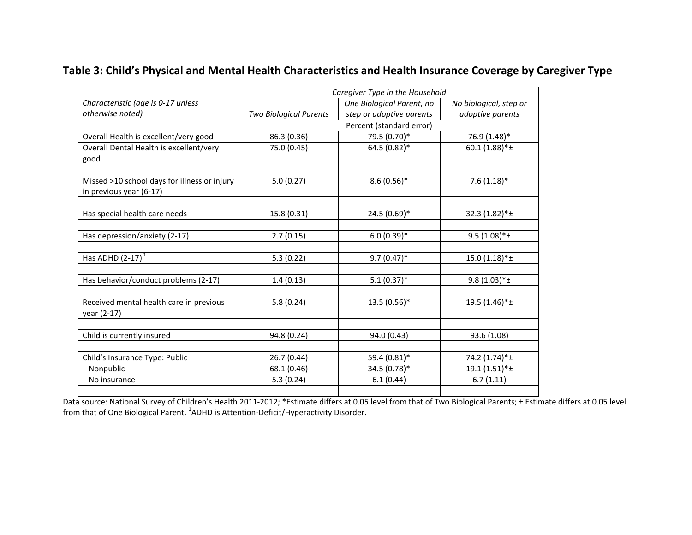### **Table 3: Child's Physical and Mental Health Characteristics and Health Insurance Coverage by Caregiver Type**

|                                              | Caregiver Type in the Household |                           |                        |  |  |
|----------------------------------------------|---------------------------------|---------------------------|------------------------|--|--|
| Characteristic (age is 0-17 unless           |                                 | One Biological Parent, no | No biological, step or |  |  |
| otherwise noted)                             | <b>Two Biological Parents</b>   | step or adoptive parents  | adoptive parents       |  |  |
|                                              |                                 | Percent (standard error)  |                        |  |  |
| Overall Health is excellent/very good        | 86.3 (0.36)                     | 79.5 (0.70)*              | 76.9 (1.48)*           |  |  |
| Overall Dental Health is excellent/very      | 75.0 (0.45)                     | 64.5 (0.82)*              | $60.1(1.88)*\pm$       |  |  |
| good                                         |                                 |                           |                        |  |  |
|                                              |                                 |                           |                        |  |  |
| Missed >10 school days for illness or injury | 5.0(0.27)                       | $8.6(0.56)$ *             | $7.6(1.18)$ *          |  |  |
| in previous year (6-17)                      |                                 |                           |                        |  |  |
|                                              |                                 |                           |                        |  |  |
| Has special health care needs                | 15.8 (0.31)                     | 24.5 (0.69)*              | 32.3 (1.82)*±          |  |  |
|                                              |                                 |                           |                        |  |  |
| Has depression/anxiety (2-17)                | 2.7(0.15)                       | $6.0(0.39)*$              | $9.5(1.08)*\pm$        |  |  |
|                                              |                                 |                           |                        |  |  |
| Has ADHD $(2-17)^1$                          | 5.3(0.22)                       | $9.7(0.47)$ *             | $15.0(1.18)*\pm$       |  |  |
|                                              |                                 |                           |                        |  |  |
| Has behavior/conduct problems (2-17)         | 1.4(0.13)                       | $5.1(0.37)$ *             | $9.8(1.03)*\pm$        |  |  |
|                                              |                                 |                           |                        |  |  |
| Received mental health care in previous      | 5.8(0.24)                       | 13.5 (0.56)*              | 19.5 (1.46)*±          |  |  |
| year (2-17)                                  |                                 |                           |                        |  |  |
|                                              |                                 |                           |                        |  |  |
| Child is currently insured                   | 94.8 (0.24)                     | 94.0 (0.43)               | 93.6 (1.08)            |  |  |
|                                              |                                 |                           |                        |  |  |
| Child's Insurance Type: Public               | 26.7(0.44)                      | 59.4 (0.81)*              | 74.2 (1.74)*±          |  |  |
| Nonpublic                                    | 68.1 (0.46)                     | 34.5 (0.78)*              | 19.1 (1.51)*±          |  |  |
| No insurance                                 | 5.3(0.24)                       | 6.1(0.44)                 | 6.7(1.11)              |  |  |
|                                              |                                 |                           |                        |  |  |

Data source: National Survey of Children's Health 2011-2012; \*Estimate differs at 0.05 level from that of Two Biological Parents; ± Estimate differs at 0.05 level from that of One Biological Parent. <sup>1</sup>ADHD is Attention-Deficit/Hyperactivity Disorder.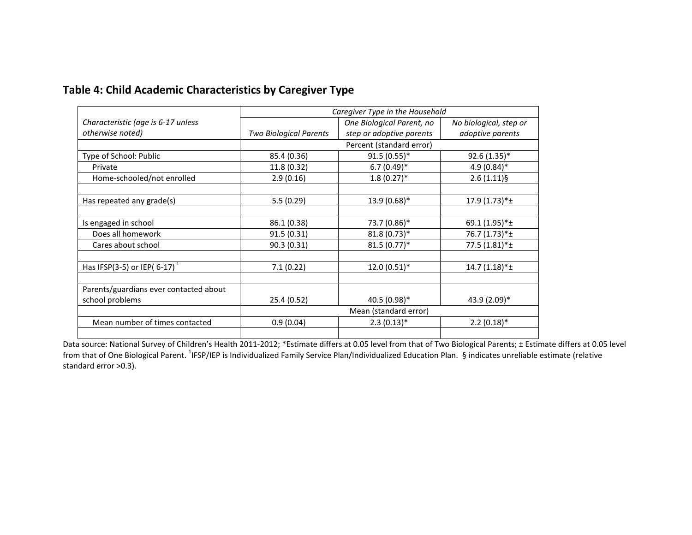|                                             | Caregiver Type in the Household |                           |                              |
|---------------------------------------------|---------------------------------|---------------------------|------------------------------|
| Characteristic (age is 6-17 unless          |                                 | One Biological Parent, no | No biological, step or       |
| otherwise noted)                            | Two Biological Parents          | step or adoptive parents  | adoptive parents             |
|                                             |                                 | Percent (standard error)  |                              |
| Type of School: Public                      | 85.4 (0.36)                     | $91.5(0.55)^*$            | 92.6 (1.35)*                 |
| Private                                     | 11.8 (0.32)                     | $6.7(0.49)$ *             | $4.9(0.84)$ *                |
| Home-schooled/not enrolled                  | 2.9(0.16)                       | $1.8(0.27)$ <sup>*</sup>  | $2.6(1.11)\$                 |
|                                             |                                 |                           |                              |
| Has repeated any grade(s)                   | 5.5(0.29)                       | 13.9 (0.68)*              | $17.9(1.73)*\pm$             |
|                                             |                                 |                           |                              |
| Is engaged in school                        | 86.1 (0.38)                     | 73.7 (0.86)*              | 69.1 (1.95)*±                |
| Does all homework                           | 91.5 (0.31)                     | 81.8 (0.73)*              | 76.7 $(1.73)*\pm$            |
| Cares about school                          | 90.3(0.31)                      | $81.5(0.77)^*$            | 77.5 $(1.81)$ <sup>*</sup> ± |
|                                             |                                 |                           |                              |
| Has IFSP(3-5) or IEP( $6-17$ ) <sup>1</sup> | 7.1(0.22)                       | $12.0(0.51)$ <sup>*</sup> | $14.7(1.18)*\pm$             |
|                                             |                                 |                           |                              |
| Parents/guardians ever contacted about      |                                 |                           |                              |
| school problems                             | 25.4 (0.52)                     | 40.5 (0.98)*              | 43.9 (2.09)*                 |
|                                             | Mean (standard error)           |                           |                              |
| Mean number of times contacted              | 0.9(0.04)                       | $2.3(0.13)*$              | $2.2(0.18)$ <sup>*</sup>     |
|                                             |                                 |                           |                              |

# **Table 4: Child Academic Characteristics by Caregiver Type**

Data source: National Survey of Children's Health 2011-2012; \*Estimate differs at 0.05 level from that of Two Biological Parents; ± Estimate differs at 0.05 level from that of One Biological Parent. <sup>1</sup>IFSP/IEP is Individualized Family Service Plan/Individualized Education Plan. §indicates unreliable estimate (relative standard error >0.3).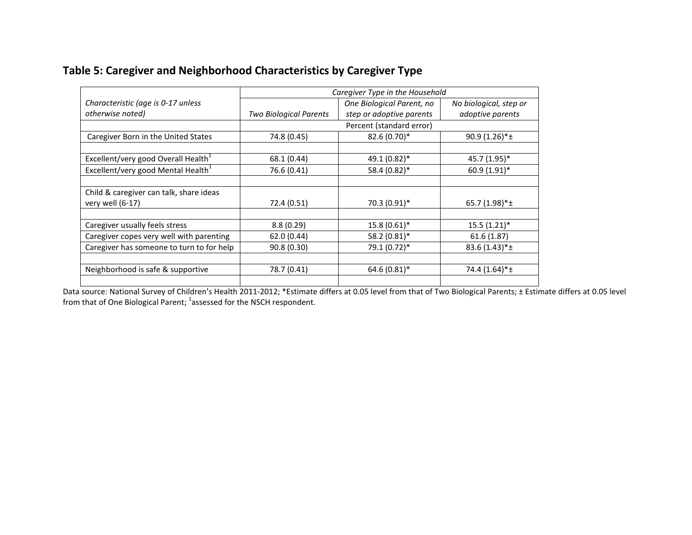### **Table 5: Caregiver and Neighborhood Characteristics by Caregiver Type**

|                                                 | Caregiver Type in the Household |                           |                        |
|-------------------------------------------------|---------------------------------|---------------------------|------------------------|
| Characteristic (age is 0-17 unless              |                                 | One Biological Parent, no | No biological, step or |
| otherwise noted)                                | <b>Two Biological Parents</b>   | step or adoptive parents  | adoptive parents       |
|                                                 |                                 | Percent (standard error)  |                        |
| Caregiver Born in the United States             | 74.8 (0.45)                     | 82.6 (0.70)*              | $90.9(1.26)*\pm$       |
|                                                 |                                 |                           |                        |
| Excellent/very good Overall Health <sup>1</sup> | 68.1 (0.44)                     | 49.1 (0.82)*              | 45.7 (1.95)*           |
| Excellent/very good Mental Health <sup>1</sup>  | 76.6 (0.41)                     | 58.4 (0.82)*              | 60.9 (1.91)*           |
|                                                 |                                 |                           |                        |
| Child & caregiver can talk, share ideas         |                                 |                           |                        |
| very well (6-17)                                | 72.4 (0.51)                     | 70.3 (0.91)*              | 65.7 $(1.98)*t$        |
|                                                 |                                 |                           |                        |
| Caregiver usually feels stress                  | 8.8(0.29)                       | $15.8(0.61)$ *            | $15.5(1.21)$ *         |
| Caregiver copes very well with parenting        | 62.0 (0.44)                     | 58.2 (0.81)*              | 61.6(1.87)             |
| Caregiver has someone to turn to for help       | 90.8 (0.30)                     | 79.1 (0.72)*              | $83.6(1.43)*\pm$       |
|                                                 |                                 |                           |                        |
| Neighborhood is safe & supportive               | 78.7 (0.41)                     | $64.6(0.81)$ *            | 74.4 (1.64)*±          |
|                                                 |                                 |                           |                        |

Data source: National Survey of Children's Health 2011-2012; \*Estimate differs at 0.05 level from that of Two Biological Parents; ± Estimate differs at 0.05 level from that of One Biological Parent; <sup>1</sup>assessed for the NSCH respondent.